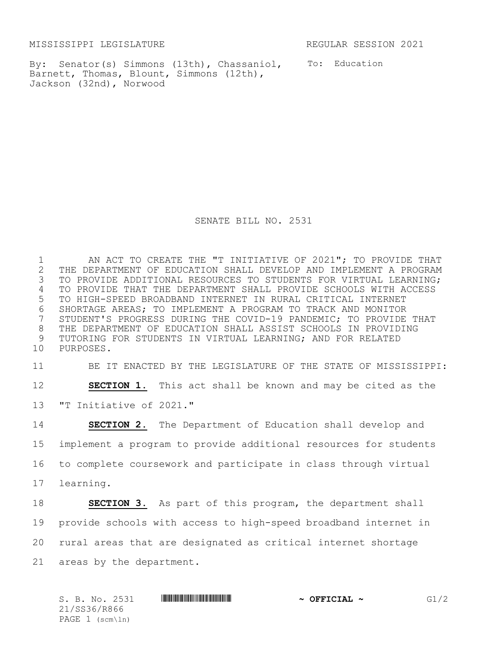MISSISSIPPI LEGISLATURE REGULAR SESSION 2021

By: Senator(s) Simmons (13th), Chassaniol, To: Education Barnett, Thomas, Blount, Simmons (12th), Jackson (32nd), Norwood

SENATE BILL NO. 2531

1 AN ACT TO CREATE THE "T INITIATIVE OF 2021"; TO PROVIDE THAT<br>2 THE DEPARTMENT OF EDUCATION SHALL DEVELOP AND IMPLEMENT A PROGRAM 2 THE DEPARTMENT OF EDUCATION SHALL DEVELOP AND IMPLEMENT A PROGRAM<br>3 TO PROVIDE ADDITIONAL RESOURCES TO STUDENTS FOR VIRTUAL LEARNING; TO PROVIDE ADDITIONAL RESOURCES TO STUDENTS FOR VIRTUAL LEARNING; 4 TO PROVIDE THAT THE DEPARTMENT SHALL PROVIDE SCHOOLS WITH ACCESS 5 TO HIGH-SPEED BROADBAND INTERNET IN RURAL CRITICAL INTERNET 6 SHORTAGE AREAS; TO IMPLEMENT A PROGRAM TO TRACK AND MONITOR<br>7 STUDENT'S PROGRESS DURING THE COVID-19 PANDEMIC; TO PROVIDE STUDENT'S PROGRESS DURING THE COVID-19 PANDEMIC; TO PROVIDE THAT 8 THE DEPARTMENT OF EDUCATION SHALL ASSIST SCHOOLS IN PROVIDING 9 TUTORING FOR STUDENTS IN VIRTUAL LEARNING; AND FOR RELATED 10 PURPOSES.

11 BE IT ENACTED BY THE LEGISLATURE OF THE STATE OF MISSISSIPPI:

12 **SECTION 1.** This act shall be known and may be cited as the 13 "T Initiative of 2021."

 **SECTION 2.** The Department of Education shall develop and implement a program to provide additional resources for students to complete coursework and participate in class through virtual learning. **SECTION 3.** As part of this program, the department shall provide schools with access to high-speed broadband internet in rural areas that are designated as critical internet shortage

21 areas by the department.